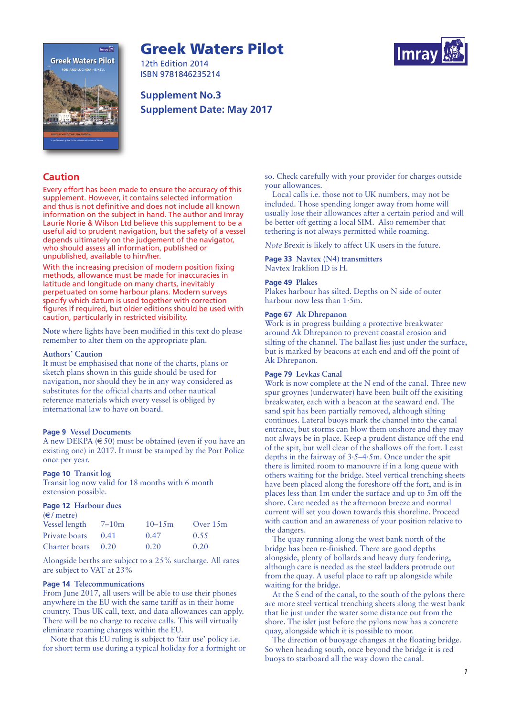# **Greek Waters Pilot**





12th Edition 2014 ISBN 9781846235214

**Supplement No.3 Supplement Date: May 2017**

# **Caution**

Every effort has been made to ensure the accuracy of this supplement. However, it contains selected information and thus is not definitive and does not include all known information on the subject in hand. The author and Imray Laurie Norie & Wilson Ltd believe this supplement to be a useful aid to prudent navigation, but the safety of a vessel depends ultimately on the judgement of the navigator, who should assess all information, published or unpublished, available to him/her.

With the increasing precision of modern position fixing methods, allowance must be made for inaccuracies in latitude and longitude on many charts, inevitably perpetuated on some harbour plans. Modern surveys specify which datum is used together with correction figures if required, but older editions should be used with caution, particularly in restricted visibility.

**Note** where lights have been modified in this text do please remember to alter them on the appropriate plan.

#### **Authors' Caution**

It must be emphasised that none of the charts, plans or sketch plans shown in this guide should be used for navigation, nor should they be in any way considered as substitutes for the official charts and other nautical reference materials which every vessel is obliged by international law to have on board.

#### **Page 9 Vessel Documents**

A new DEKPA  $(650)$  must be obtained (even if you have an existing one) in 2017. It must be stamped by the Port Police once per year.

# **Page 10 Transit log**

Transit log now valid for 18 months with 6 month extension possible.

#### **Page 12 Harbour dues**

| $(\infty)$ metre) |           |            |            |
|-------------------|-----------|------------|------------|
| Vessel length     | $7 - 10m$ | $10 - 15m$ | Over $15m$ |
| Private boats     | 0.41      | 0.47       | 0.55       |
| Charter boats     | 0.20      | 0.20       | 0.20       |

Alongside berths are subject to a 25% surcharge. All rates are subject to VAT at 23%

#### **Page 14 Telecommunications**

From June 2017, all users will be able to use their phones anywhere in the EU with the same tariff as in their home country. Thus UK call, text, and data allowances can apply. There will be no charge to receive calls. This will virtually eliminate roaming charges within the EU.

Note that this EU ruling is subject to 'fair use' policy i.e. for short term use during a typical holiday for a fortnight or

so. Check carefully with your provider for charges outside your allowances.

Local calls i.e. those not to UK numbers, may not be included. Those spending longer away from home will usually lose their allowances after a certain period and will be better off getting a local SIM. Also remember that tethering is not always permitted while roaming.

*Note* Brexit is likely to affect UK users in the future.

**Page 33 Navtex (N4) transmitters** Navtex Iraklion ID is H.

#### **Page 49 Plakes**

Plakes harbour has silted. Depths on N side of outer harbour now less than 1·5m.

#### **Page 67 Ak Dhrepanon**

Work is in progress building a protective breakwater around Ak Dhrepanon to prevent coastal erosion and silting of the channel. The ballast lies just under the surface, but is marked by beacons at each end and off the point of Ak Dhrepanon.

#### **Page 79 Levkas Canal**

Work is now complete at the N end of the canal. Three new spur groynes (underwater) have been built off the exisiting breakwater, each with a beacon at the seaward end. The sand spit has been partially removed, although silting continues. Lateral buoys mark the channel into the canal entrance, but storms can blow them onshore and they may not always be in place. Keep a prudent distance off the end of the spit, but well clear of the shallows off the fort. Least depths in the fairway of 3·5–4·5m. Once under the spit there is limited room to manouvre if in a long queue with others waiting for the bridge. Steel vertical trenching sheets have been placed along the foreshore off the fort, and is in places less than 1m under the surface and up to 5m off the shore. Care needed as the afternoon breeze and normal current will set you down towards this shoreline. Proceed with caution and an awareness of your position relative to the dangers.

The quay running along the west bank north of the bridge has been re-finished. There are good depths alongside, plenty of bollards and heavy duty fendering, although care is needed as the steel ladders protrude out from the quay. A useful place to raft up alongside while waiting for the bridge.

At the S end of the canal, to the south of the pylons there are more steel vertical trenching sheets along the west bank that lie just under the water some distance out from the shore. The islet just before the pylons now has a concrete quay, alongside which it is possible to moor.

The direction of buoyage changes at the floating bridge. So when heading south, once beyond the bridge it is red buoys to starboard all the way down the canal.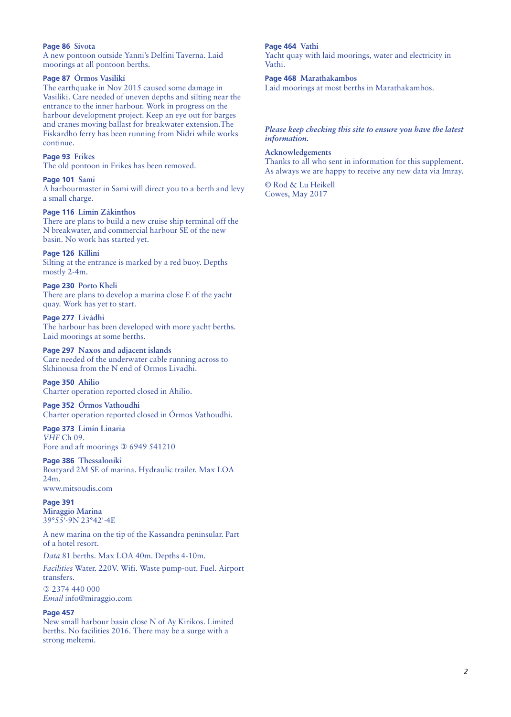## **Page 86 Sivota**

A new pontoon outside Yanni's Delfini Taverna. Laid moorings at all pontoon berths.

# **Page 87 Órmos Vasilikí**

The earthquake in Nov 2015 caused some damage in Vasiliki. Care needed of uneven depths and silting near the entrance to the inner harbour. Work in progress on the harbour development project. Keep an eye out for barges and cranes moving ballast for breakwater extension.The Fiskardho ferry has been running from Nidri while works continue.

# **Page 93 Frikes**

The old pontoon in Frikes has been removed.

#### **Page 101 Sami**

A harbourmaster in Sami will direct you to a berth and levy a small charge.

#### **Page 116 Limin Zákinthos**

There are plans to build a new cruise ship terminal off the N breakwater, and commercial harbour SE of the new basin. No work has started yet.

# **Page 126 Killini**

Silting at the entrance is marked by a red buoy. Depths mostly 2-4m.

# **Page 230 Porto Kheli**

There are plans to develop a marina close E of the yacht quay. Work has yet to start.

# **Page 277 Livádhi**

The harbour has been developed with more yacht berths. Laid moorings at some berths.

# **Page 297 Naxos and adjacent islands**

Care needed of the underwater cable running across to Skhinousa from the N end of Ormos Livadhi.

**Page 350 Ahilio** Charter operation reported closed in Ahilio.

# **Page 352 Órmos Vathoudhi**

Charter operation reported closed in Órmos Vathoudhi.

**Page 373 Limín Linaria** *VHF* Ch 09. Fore and aft moorings  $\Omega$  6949 541210

#### **Page 386 Thessaloniki**

Boatyard 2M SE of marina. Hydraulic trailer. Max LOA 24m.

www.mitsoudis.com

#### **Page 391 Miraggio Marina** 39°55'·9N 23°42'·4E

A new marina on the tip of the Kassandra peninsular. Part of a hotel resort.

*Data* 81 berths. Max LOA 40m. Depths 4-10m.

*Facilities* Water. 220V. Wifi. Waste pump-out. Fuel. Airport transfers.

 2374 440 000 *Email* info@miraggio.com

#### **Page 457**

New small harbour basin close N of Ay Kirikos. Limited berths. No facilities 2016. There may be a surge with a strong meltemi.

#### **Page 464 Vathi**

Yacht quay with laid moorings, water and electricity in Vathi.

#### **Page 468 Marathakambos**

Laid moorings at most berths in Marathakambos.

## *Please keep checking this site to ensure you have the latest information.*

#### **Acknowledgements**

Thanks to all who sent in information for this supplement. As always we are happy to receive any new data via Imray.

© Rod & Lu Heikell Cowes, May 2017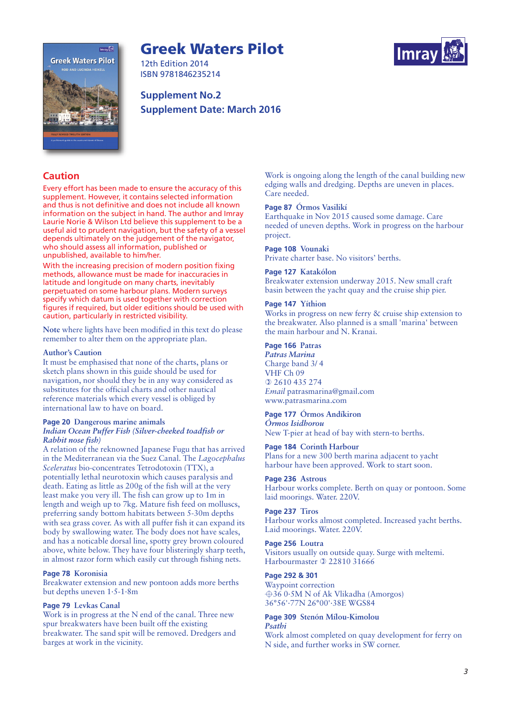# **Greek Waters Pilot**





12th Edition 2014 ISBN 9781846235214

# **Supplement No.2 Supplement Date: March 2016**

# **Caution**

Every effort has been made to ensure the accuracy of this supplement. However, it contains selected information and thus is not definitive and does not include all known information on the subject in hand. The author and Imray Laurie Norie & Wilson Ltd believe this supplement to be a useful aid to prudent navigation, but the safety of a vessel depends ultimately on the judgement of the navigator, who should assess all information, published or unpublished, available to him/her.

With the increasing precision of modern position fixing methods, allowance must be made for inaccuracies in latitude and longitude on many charts, inevitably perpetuated on some harbour plans. Modern surveys specify which datum is used together with correction figures if required, but older editions should be used with caution, particularly in restricted visibility.

**Note** where lights have been modified in this text do please remember to alter them on the appropriate plan.

#### **Author's Caution**

It must be emphasised that none of the charts, plans or sketch plans shown in this guide should be used for navigation, nor should they be in any way considered as substitutes for the official charts and other nautical reference materials which every vessel is obliged by international law to have on board.

#### **Page 20 Dangerous marine animals** *Indian Ocean Puffer Fish (Silver-cheeked toadfish or Rabbit nose fish)*

A relation of the reknowned Japanese Fugu that has arrived in the Mediterranean via the Suez Canal. The *Lagocephalus Sceleratus* bio-concentrates Tetrodotoxin (TTX), a potentially lethal neurotoxin which causes paralysis and death. Eating as little as 200g of the fish will at the very least make you very ill. The fish can grow up to 1m in length and weigh up to 7kg. Mature fish feed on molluscs, preferring sandy bottom habitats between 5-30m depths with sea grass cover. As with all puffer fish it can expand its body by swallowing water. The body does not have scales, and has a noticable dorsal line, spotty grey brown coloured above, white below. They have four blisteringly sharp teeth, in almost razor form which easily cut through fishing nets.

# **Page 78 Koronisia**

Breakwater extension and new pontoon adds more berths but depths uneven 1·5-1·8m

# **Page 79 Levkas Canal**

Work is in progress at the N end of the canal. Three new spur breakwaters have been built off the existing breakwater. The sand spit will be removed. Dredgers and barges at work in the vicinity.

Work is ongoing along the length of the canal building new edging walls and dredging. Depths are uneven in places. Care needed.

## **Page 87 Órmos Vasilikí**

Earthquake in Nov 2015 caused some damage. Care needed of uneven depths. Work in progress on the harbour project.

**Page 108 Vounaki**

Private charter base. No visitors' berths.

## **Page 127 Katakólon**

Breakwater extension underway 2015. New small craft basin between the yacht quay and the cruise ship pier.

# **Page 147 Yíthion**

Works in progress on new ferry & cruise ship extension to the breakwater. Also planned is a small 'marina' between the main harbour and N. Kranai.

# **Page 166 Patras**

*Patras Marina* Charge band 3/ 4 VHF Ch 09 2610 435 274 *Email* patrasmarina@gmail.com www.patrasmarina.com

#### **Page 177 Órmos Andíkiron**

*Órmos Isidhorou* New T-pier at head of bay with stern-to berths.

#### **Page 184 Corinth Harbour**

Plans for a new 300 berth marina adjacent to yacht harbour have been approved. Work to start soon.

# **Page 236 Astrous**

Harbour works complete. Berth on quay or pontoon. Some laid moorings. Water. 220V.

#### **Page 237 Tiros**

Harbour works almost completed. Increased yacht berths. Laid moorings. Water. 220V.

#### **Page 256 Loutra**

Visitors usually on outside quay. Surge with meltemi. Harbourmaster **0 22810 31666** 

# **Page 292 & 301**

Waypoint correction  $\triangle$ 36 0·5M N of Ak Vlikadha (Amorgos) 36°56'·77N 26°00'·38E WGS84

#### **Page 309 Stenón Mílou-Kimolou** *Psathi*

Work almost completed on quay development for ferry on N side, and further works in SW corner.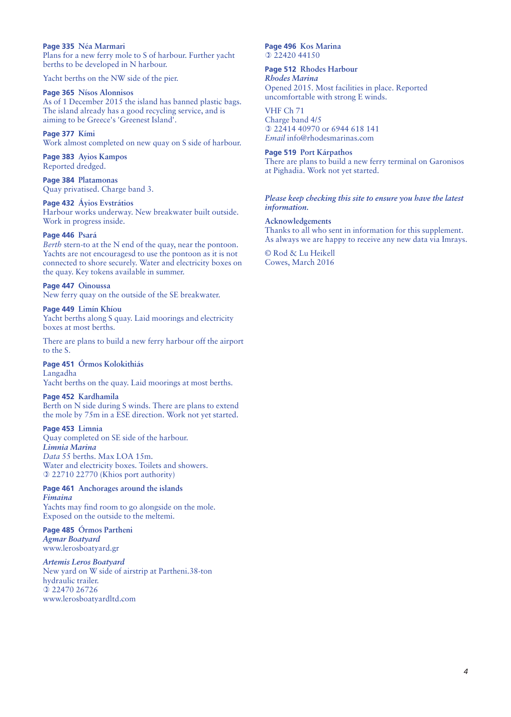## **Page 335 Néa Marmari**

Plans for a new ferry mole to S of harbour. Further yacht berths to be developed in N harbour.

Yacht berths on the NW side of the pier.

#### **Page 365 Nísos Alonnisos**

As of 1 December 2015 the island has banned plastic bags. The island already has a good recycling service, and is aiming to be Greece's 'Greenest Island'.

#### **Page 377 Kími**

Work almost completed on new quay on S side of harbour.

**Page 383 Ayios Kampos** Reported dredged.

**Page 384 Platamonas** Quay privatised. Charge band 3.

#### **Page 432 Áyios Evstrátios**

Harbour works underway. New breakwater built outside. Work in progress inside.

#### **Page 446 Psará**

*Berth* stern-to at the N end of the quay, near the pontoon. Yachts are not encouragesd to use the pontoon as it is not connected to shore securely. Water and electricity boxes on the quay. Key tokens available in summer.

#### **Page 447 Oinoussa**

New ferry quay on the outside of the SE breakwater.

# **Page 449 Limín Khíou**

Yacht berths along S quay. Laid moorings and electricity boxes at most berths.

There are plans to build a new ferry harbour off the airport to the S.

#### **Page 451 Órmos Kolokithiás**

Langadha Yacht berths on the quay. Laid moorings at most berths.

# **Page 452 Kardhamila**

Berth on N side during S winds. There are plans to extend the mole by 75m in a ESE direction. Work not yet started.

#### **Page 453 Limnia**

Quay completed on SE side of the harbour. *Limnia Marina Data* 55 berths. Max LOA 15m. Water and electricity boxes. Toilets and showers. 22710 22770 (Khios port authority)

#### **Page 461 Anchorages around the islands** *Fimaina*

Yachts may find room to go alongside on the mole. Exposed on the outside to the meltemi.

**Page 485 Órmos Partheni** *Agmar Boatyard* www.lerosboatyard.gr

# *Artemis Leros Boatyard*

New yard on W side of airstrip at Partheni.38-ton hydraulic trailer. 22470 26726 www.lerosboatyardltd.com

#### **Page 496 Kos Marina** 0 22420 44150

#### **Page 512 Rhodes Harbour**

*Rhodes Marina* Opened 2015. Most facilities in place. Reported uncomfortable with strong E winds.

VHF Ch 71 Charge band 4/5 22414 40970 or 6944 618 141 *Email* info@rhodesmarinas.com

#### **Page 519 Port Kárpathos**

There are plans to build a new ferry terminal on Garonisos at Pighadia. Work not yet started.

#### *Please keep checking this site to ensure you have the latest information.*

**Acknowledgements** Thanks to all who sent in information for this supplement. As always we are happy to receive any new data via Imrays.

© Rod & Lu Heikell Cowes, March 2016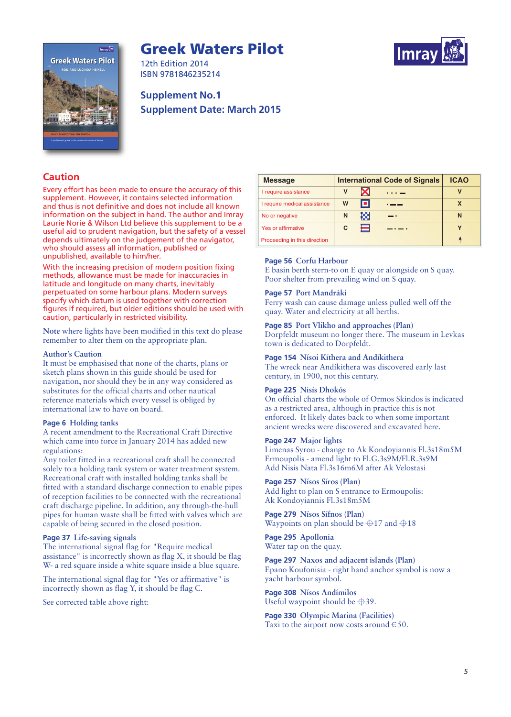# **Greek Waters Pilot**





12th Edition 2014 ISBN 9781846235214

# **Supplement No.1 Supplement Date: March 2015**

# **Caution**

Every effort has been made to ensure the accuracy of this supplement. However, it contains selected information and thus is not definitive and does not include all known information on the subject in hand. The author and Imray Laurie Norie & Wilson Ltd believe this supplement to be a useful aid to prudent navigation, but the safety of a vessel depends ultimately on the judgement of the navigator, who should assess all information, published or unpublished, available to him/her.

With the increasing precision of modern position fixing methods, allowance must be made for inaccuracies in latitude and longitude on many charts, inevitably perpetuated on some harbour plans. Modern surveys specify which datum is used together with correction figures if required, but older editions should be used with caution, particularly in restricted visibility.

**Note** where lights have been modified in this text do please remember to alter them on the appropriate plan.

# **Author's Caution**

It must be emphasised that none of the charts, plans or sketch plans shown in this guide should be used for navigation, nor should they be in any way considered as substitutes for the official charts and other nautical reference materials which every vessel is obliged by international law to have on board.

# **Page 6 Holding tanks**

A recent amendment to the Recreational Craft Directive which came into force in January 2014 has added new regulations:

Any toilet fitted in a recreational craft shall be connected solely to a holding tank system or water treatment system. Recreational craft with installed holding tanks shall be fitted with a standard discharge connection to enable pipes of reception facilities to be connected with the recreational craft discharge pipeline. In addition, any through-the-hull pipes for human waste shall be fitted with valves which are capable of being secured in the closed position.

# **Page 37 Life-saving signals**

The international signal flag for "Require medical assistance" is incorrectly shown as flag X, it should be flag W- a red square inside a white square inside a blue square.

The international signal flag for "Yes or affirmative" is incorrectly shown as flag Y, it should be flag C.

See corrected table above right:

| <b>Message</b>               | <b>International Code of Signals</b> |   |     | <b>ICAO</b> |
|------------------------------|--------------------------------------|---|-----|-------------|
| I require assistance         | V                                    | X |     | v           |
| I require medical assistance | W                                    | о |     | X           |
| No or negative               | N                                    | œ | . . | N           |
| <b>Yes or affirmative</b>    | С                                    |   |     |             |
| Proceeding in this direction |                                      |   |     |             |

# **Page 56 Corfu Harbour**

E basin berth stern-to on E quay or alongside on S quay. Poor shelter from prevailing wind on S quay.

## **Page 57 Port Mandráki**

Ferry wash can cause damage unless pulled well off the quay. Water and electricity at all berths.

#### **Page 85 Port Vlikho and approaches (Plan)**

Dorpfeldt museum no longer there. The museum in Levkas town is dedicated to Dorpfeldt.

# **Page 154 Nísoi Kíthera and Andíkithera**

The wreck near Andíkithera was discovered early last century, in 1900, not this century.

# **Page 225 Nisís Dhokós**

On official charts the whole of Ormos Skindos is indicated as a restricted area, although in practice this is not enforced. It likely dates back to when some important ancient wrecks were discovered and excavated here.

## **Page 247 Major lights**

Limenas Syrou - change to Ak Kondoyiannis Fl.3s18m5M  Ermoupolis - amend light to Fl.G.3s9M/Fl.R.3s9M Add Nisis Nata Fl.3s16m6M after Ak Velostasi 

**Page 257 Nísos Síros (Plan)**

Add light to plan on S entrance to Ermoupolis: Ak Kondoyiannis Fl.3s18m5M

**Page 279 Nísos Sífnos (Plan)** Waypoints on plan should be  $\oplus$ 17 and  $\oplus$ 18

**Page 295 Apollonia** Water tap on the quay.

**Page 297 Naxos and adjacent islands (Plan)** Epano Koufonisia - right hand anchor symbol is now a yacht harbour symbol.

**Page 308 Nísos Andímilos** Useful waypoint should be  $\oplus$ 39.

**Page 330 Olympic Marina (Facilities)** Taxi to the airport now costs around  $\in$  50.